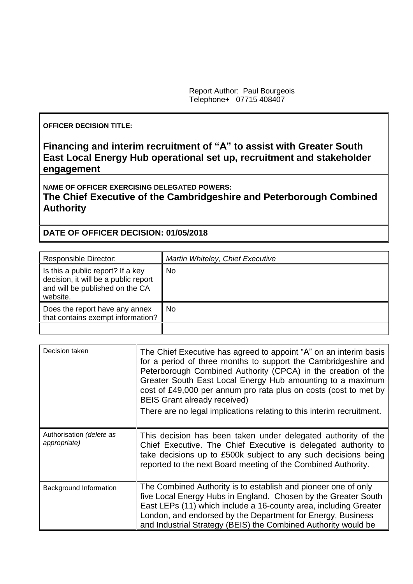Report Author: Paul Bourgeois Telephone+ 07715 408407

## **OFFICER DECISION TITLE:**

**Financing and interim recruitment of "A" to assist with Greater South East Local Energy Hub operational set up, recruitment and stakeholder engagement**

**NAME OF OFFICER EXERCISING DELEGATED POWERS: The Chief Executive of the Cambridgeshire and Peterborough Combined** 

## **Authority**

## **DATE OF OFFICER DECISION: 01/05/2018**

| <b>Responsible Director:</b>                                                                                             | Martin Whiteley, Chief Executive |
|--------------------------------------------------------------------------------------------------------------------------|----------------------------------|
| Is this a public report? If a key<br>decision, it will be a public report<br>and will be published on the CA<br>website. | <b>No</b>                        |
| Does the report have any annex<br>that contains exempt information?                                                      | <b>No</b>                        |
|                                                                                                                          |                                  |

| Decision taken                           | The Chief Executive has agreed to appoint "A" on an interim basis<br>for a period of three months to support the Cambridgeshire and<br>Peterborough Combined Authority (CPCA) in the creation of the<br>Greater South East Local Energy Hub amounting to a maximum<br>cost of £49,000 per annum pro rata plus on costs (cost to met by<br><b>BEIS Grant already received)</b><br>There are no legal implications relating to this interim recruitment. |
|------------------------------------------|--------------------------------------------------------------------------------------------------------------------------------------------------------------------------------------------------------------------------------------------------------------------------------------------------------------------------------------------------------------------------------------------------------------------------------------------------------|
| Authorisation (delete as<br>appropriate) | This decision has been taken under delegated authority of the<br>Chief Executive. The Chief Executive is delegated authority to<br>take decisions up to £500k subject to any such decisions being<br>reported to the next Board meeting of the Combined Authority.                                                                                                                                                                                     |
| Background Information                   | The Combined Authority is to establish and pioneer one of only<br>five Local Energy Hubs in England. Chosen by the Greater South<br>East LEPs (11) which include a 16-county area, including Greater<br>London, and endorsed by the Department for Energy, Business<br>and Industrial Strategy (BEIS) the Combined Authority would be                                                                                                                  |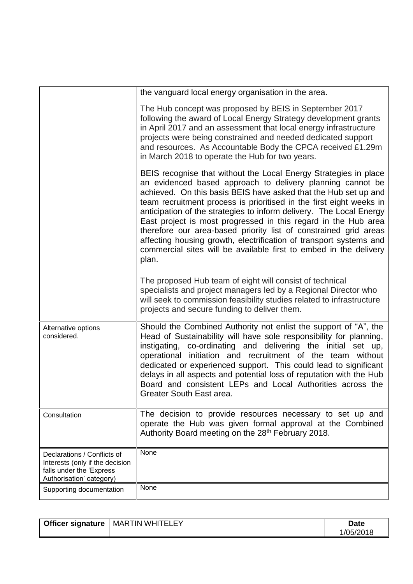|                                                                                                                        | the vanguard local energy organisation in the area.                                                                                                                                                                                                                                                                                                                                                                                                                                                                                                                                                                                       |
|------------------------------------------------------------------------------------------------------------------------|-------------------------------------------------------------------------------------------------------------------------------------------------------------------------------------------------------------------------------------------------------------------------------------------------------------------------------------------------------------------------------------------------------------------------------------------------------------------------------------------------------------------------------------------------------------------------------------------------------------------------------------------|
|                                                                                                                        | The Hub concept was proposed by BEIS in September 2017<br>following the award of Local Energy Strategy development grants<br>in April 2017 and an assessment that local energy infrastructure<br>projects were being constrained and needed dedicated support<br>and resources. As Accountable Body the CPCA received £1.29m<br>in March 2018 to operate the Hub for two years.                                                                                                                                                                                                                                                           |
|                                                                                                                        | BEIS recognise that without the Local Energy Strategies in place<br>an evidenced based approach to delivery planning cannot be<br>achieved. On this basis BEIS have asked that the Hub set up and<br>team recruitment process is prioritised in the first eight weeks in<br>anticipation of the strategies to inform delivery. The Local Energy<br>East project is most progressed in this regard in the Hub area<br>therefore our area-based priority list of constrained grid areas<br>affecting housing growth, electrification of transport systems and<br>commercial sites will be available first to embed in the delivery<br>plan. |
|                                                                                                                        | The proposed Hub team of eight will consist of technical<br>specialists and project managers led by a Regional Director who<br>will seek to commission feasibility studies related to infrastructure<br>projects and secure funding to deliver them.                                                                                                                                                                                                                                                                                                                                                                                      |
| Alternative options<br>considered.                                                                                     | Should the Combined Authority not enlist the support of "A", the<br>Head of Sustainability will have sole responsibility for planning,<br>instigating, co-ordinating and delivering the initial set up,<br>operational initiation and recruitment of the team<br>without<br>dedicated or experienced support. This could lead to significant<br>delays in all aspects and potential loss of reputation with the Hub<br>Board and consistent LEPs and Local Authorities across the<br><b>Greater South East area</b>                                                                                                                       |
| Consultation                                                                                                           | The decision to provide resources necessary to set up and<br>operate the Hub was given formal approval at the Combined<br>Authority Board meeting on the 28 <sup>th</sup> February 2018.                                                                                                                                                                                                                                                                                                                                                                                                                                                  |
| Declarations / Conflicts of<br>Interests (only if the decision<br>falls under the 'Express<br>Authorisation' category) | None                                                                                                                                                                                                                                                                                                                                                                                                                                                                                                                                                                                                                                      |
| Supporting documentation                                                                                               | None                                                                                                                                                                                                                                                                                                                                                                                                                                                                                                                                                                                                                                      |

| <b>Officer signature</b> | EY<br><b>WHIT</b><br>ו⊐⊤<br>MARTIN | Date     |
|--------------------------|------------------------------------|----------|
|                          |                                    | /05/2018 |